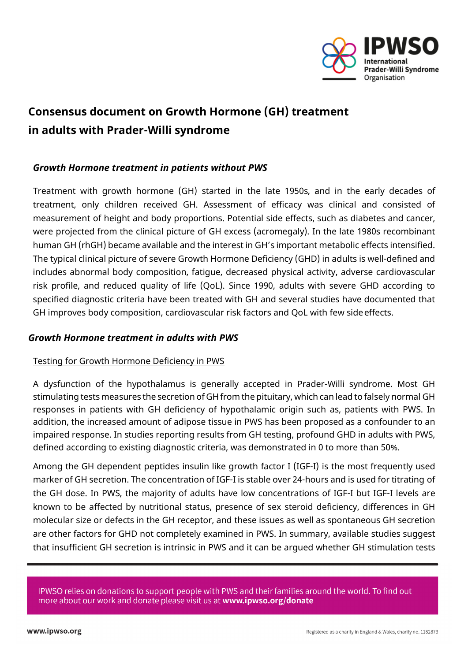

# **Consensus document on Growth Hormone (GH) treatment in adults with Prader-Willi syndrome**

# *Growth Hormone treatment in patients without PWS*

Treatment with growth hormone (GH) started in the late 1950s, and in the early decades of treatment, only children received GH. Assessment of efficacy was clinical and consisted of measurement of height and body proportions. Potential side effects, such as diabetes and cancer, were projected from the clinical picture of GH excess (acromegaly). In the late 1980s recombinant human GH (rhGH) became available and the interest in GH's important metabolic effects intensified. The typical clinical picture of severe Growth Hormone Deficiency (GHD) in adults is well-defined and includes abnormal body composition, fatigue, decreased physical activity, adverse cardiovascular risk profile, and reduced quality of life (QoL). Since 1990, adults with severe GHD according to specified diagnostic criteria have been treated with GH and several studies have documented that GH improves body composition, cardiovascular risk factors and QoL with few sideeffects.

# *Growth Hormone treatment in adults with PWS*

# Testing for Growth Hormone Deficiency in PWS

A dysfunction of the hypothalamus is generally accepted in Prader-Willi syndrome. Most GH stimulating tests measures the secretion of GH from the pituitary, which can lead to falsely normal GH responses in patients with GH deficiency of hypothalamic origin such as, patients with PWS. In addition, the increased amount of adipose tissue in PWS has been proposed as a confounder to an impaired response. In studies reporting results from GH testing, profound GHD in adults with PWS, defined according to existing diagnostic criteria, was demonstrated in 0 to more than 50%.

Among the GH dependent peptides insulin like growth factor I (IGF-I) is the most frequently used marker of GH secretion. The concentration of IGF-I is stable over 24-hours and is used for titrating of the GH dose. In PWS, the majority of adults have low concentrations of IGF-I but IGF-I levels are known to be affected by nutritional status, presence of sex steroid deficiency, differences in GH molecular size or defects in the GH receptor, and these issues as well as spontaneous GH secretion are other factors for GHD not completely examined in PWS. In summary, available studies suggest that insufficient GH secretion is intrinsic in PWS and it can be argued whether GH stimulation tests

IPWSO relies on donations to support people with PWS and their families around the world. To find out more about our work and donate please visit us at www.ipwso.org/donate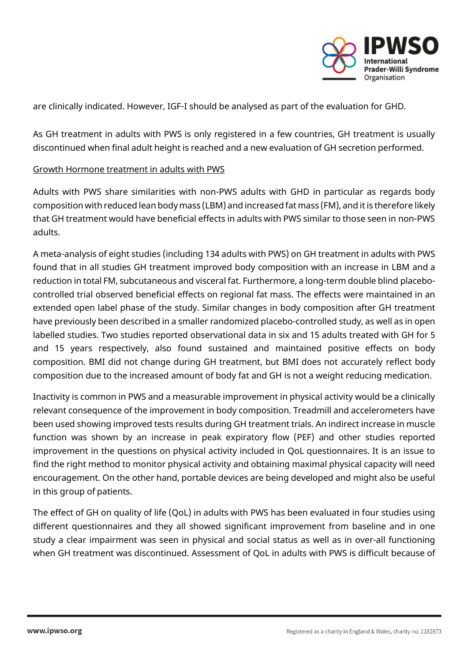

are clinically indicated. However, IGF-I should be analysed as part of the evaluation for GHD.

As GH treatment in adults with PWS is only registered in a few countries, GH treatment is usually discontinued when final adult height is reached and a new evaluation of GH secretion performed.

#### Growth Hormone treatment in adults with PWS

Adults with PWS share similarities with non-PWS adults with GHD in particular as regards body composition with reduced lean body mass (LBM) and increased fat mass (FM), and itis therefore likely that GH treatment would have beneficial effects in adults with PWS similar to those seen in non-PWS adults.

A meta-analysis of eight studies (including 134 adults with PWS) on GH treatment in adults with PWS found that in all studies GH treatment improved body composition with an increase in LBM and a reduction in total FM, subcutaneous and visceral fat. Furthermore, a long-term double blind placebocontrolled trial observed beneficial effects on regional fat mass. The effects were maintained in an extended open label phase of the study. Similar changes in body composition after GH treatment have previously been described in a smaller randomized placebo-controlled study, as well as in open labelled studies. Two studies reported observational data in six and 15 adults treated with GH for 5 and 15 years respectively, also found sustained and maintained positive effects on body composition. BMI did not change during GH treatment, but BMI does not accurately reflect body composition due to the increased amount of body fat and GH is not a weight reducing medication.

Inactivity is common in PWS and a measurable improvement in physical activity would be a clinically relevant consequence of the improvement in body composition. Treadmill and accelerometers have been used showing improved tests results during GH treatment trials. An indirect increase in muscle function was shown by an increase in peak expiratory flow (PEF) and other studies reported improvement in the questions on physical activity included in QoL questionnaires. It is an issue to find the right method to monitor physical activity and obtaining maximal physical capacity will need encouragement. On the other hand, portable devices are being developed and might also be useful in this group of patients.

The effect of GH on quality of life (QoL) in adults with PWS has been evaluated in four studies using different questionnaires and they all showed significant improvement from baseline and in one study a clear impairment was seen in physical and social status as well as in over-all functioning when GH treatment was discontinued. Assessment of QoL in adults with PWS is difficult because of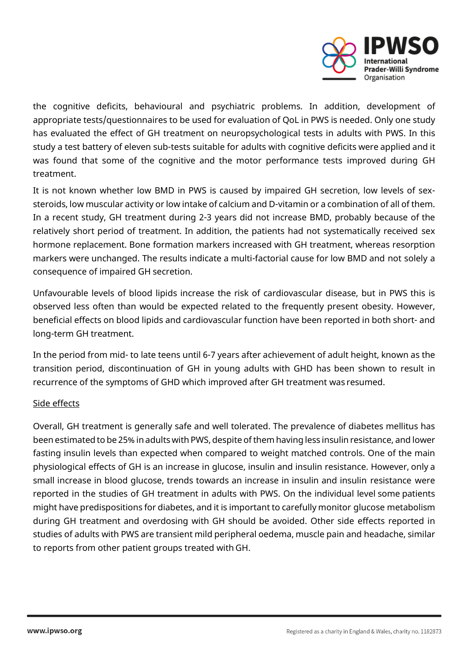

the cognitive deficits, behavioural and psychiatric problems. In addition, development of appropriate tests/questionnaires to be used for evaluation of QoL in PWS is needed. Only one study has evaluated the effect of GH treatment on neuropsychological tests in adults with PWS. In this study a test battery of eleven sub-tests suitable for adults with cognitive deficits were applied and it was found that some of the cognitive and the motor performance tests improved during GH treatment.

It is not known whether low BMD in PWS is caused by impaired GH secretion, low levels of sexsteroids, low muscular activity or low intake of calcium and D-vitamin or a combination of all of them. In a recent study, GH treatment during 2-3 years did not increase BMD, probably because of the relatively short period of treatment. In addition, the patients had not systematically received sex hormone replacement. Bone formation markers increased with GH treatment, whereas resorption markers were unchanged. The results indicate a multi-factorial cause for low BMD and not solely a consequence of impaired GH secretion.

Unfavourable levels of blood lipids increase the risk of cardiovascular disease, but in PWS this is observed less often than would be expected related to the frequently present obesity. However, beneficial effects on blood lipids and cardiovascular function have been reported in both short- and long-term GH treatment.

In the period from mid- to late teens until 6-7 years after achievement of adult height, known as the transition period, discontinuation of GH in young adults with GHD has been shown to result in recurrence of the symptoms of GHD which improved after GH treatment was resumed.

# Side effects

Overall, GH treatment is generally safe and well tolerated. The prevalence of diabetes mellitus has been estimated to be 25% in adults with PWS, despite of them having less insulin resistance, and lower fasting insulin levels than expected when compared to weight matched controls. One of the main physiological effects of GH is an increase in glucose, insulin and insulin resistance. However, only a small increase in blood glucose, trends towards an increase in insulin and insulin resistance were reported in the studies of GH treatment in adults with PWS. On the individual level some patients might have predispositions for diabetes, and it is important to carefully monitor glucose metabolism during GH treatment and overdosing with GH should be avoided. Other side effects reported in studies of adults with PWS are transient mild peripheral oedema, muscle pain and headache, similar to reports from other patient groups treated with GH.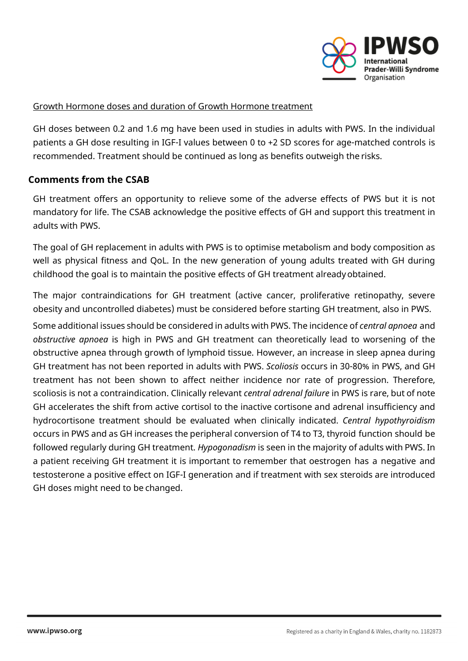

#### Growth Hormone doses and duration of Growth Hormone treatment

GH doses between 0.2 and 1.6 mg have been used in studies in adults with PWS. In the individual patients a GH dose resulting in IGF-I values between 0 to +2 SD scores for age-matched controls is recommended. Treatment should be continued as long as benefits outweigh the risks.

### **Comments from the CSAB**

GH treatment offers an opportunity to relieve some of the adverse effects of PWS but it is not mandatory for life. The CSAB acknowledge the positive effects of GH and support this treatment in adults with PWS.

The goal of GH replacement in adults with PWS is to optimise metabolism and body composition as well as physical fitness and QoL. In the new generation of young adults treated with GH during childhood the goal is to maintain the positive effects of GH treatment alreadyobtained.

The major contraindications for GH treatment (active cancer, proliferative retinopathy, severe obesity and uncontrolled diabetes) must be considered before starting GH treatment, also in PWS.

Some additional issues should be considered in adults with PWS. The incidence of *central apnoea* and *obstructive apnoea* is high in PWS and GH treatment can theoretically lead to worsening of the obstructive apnea through growth of lymphoid tissue. However, an increase in sleep apnea during GH treatment has not been reported in adults with PWS. *Scoliosis* occurs in 30-80% in PWS, and GH treatment has not been shown to affect neither incidence nor rate of progression. Therefore, scoliosis is not a contraindication. Clinically relevant *central adrenal failure* in PWS is rare, but of note GH accelerates the shift from active cortisol to the inactive cortisone and adrenal insufficiency and hydrocortisone treatment should be evaluated when clinically indicated. *Central hypothyroidism* occurs in PWS and as GH increases the peripheral conversion of T4 to T3, thyroid function should be followed regularly during GH treatment. *Hypogonadism* is seen in the majority of adults with PWS. In a patient receiving GH treatment it is important to remember that oestrogen has a negative and testosterone a positive effect on IGF-I generation and if treatment with sex steroids are introduced GH doses might need to be changed.